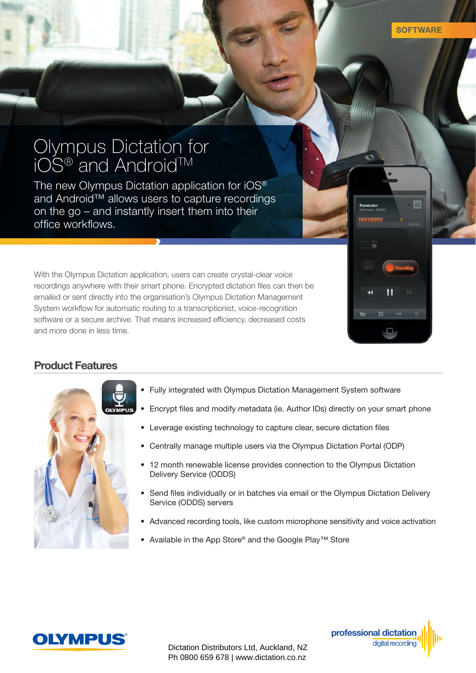mmmmm

## Olympus Dictation for  $\mathsf{iOS}^\circledast$  and Android $^{\mathsf{TM}}$

The new Olympus Dictation application for iOS® and Android™ allows users to capture recordings on the go – and instantly insert them into their office workflows.

With the Olympus Dictation application, users can create crystal-clear voice recordings anywhere with their smart phone. Encrypted dictation files can then be emailed or sent directly into the organisation's Olympus Dictation Management System workflow for automatic routing to a transcriptionist, voice-recognition software or a secure archive. That means increased efficiency, decreased costs and more done in less time.

## Product Features



- Fully integrated with Olympus Dictation Management System software
- Encrypt files and modify metadata (ie. Author IDs) directly on your smart phone
- Leverage existing technology to capture clear, secure dictation files
- Centrally manage multiple users via the Olympus Dictation Portal (ODP)
- 12 month renewable license provides connection to the Olympus Dictation Delivery Service (ODDS)
- Send files individually or in batches via email or the Olympus Dictation Delivery Service (ODDS) servers
- Advanced recording tools, like custom microphone sensitivity and voice activation
- Available in the App Store® and the Google Play™ Store